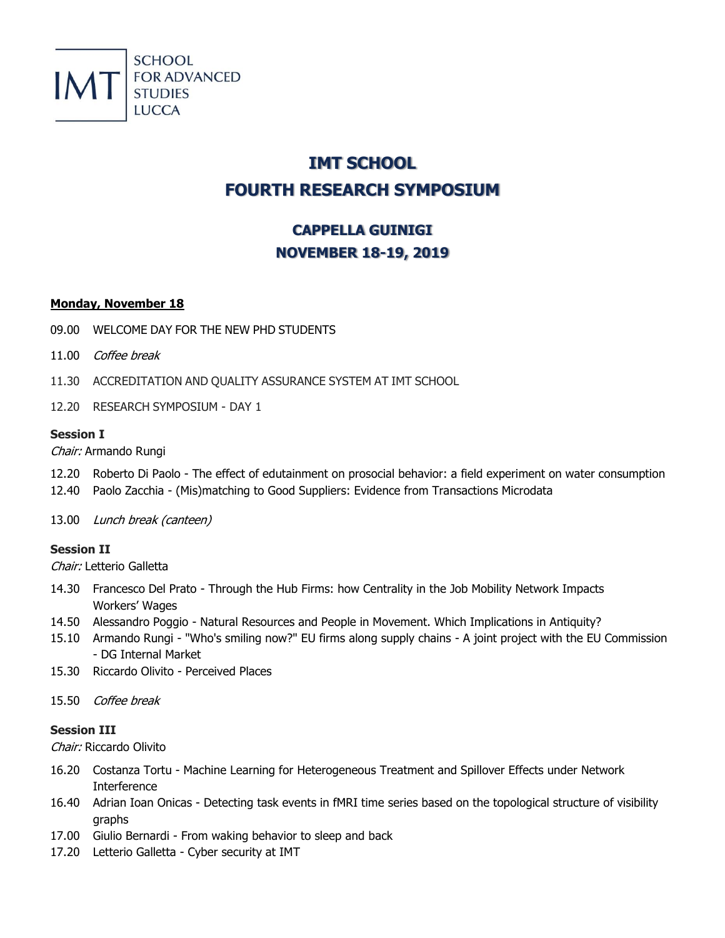

# **IMT SCHOOL FOURTH RESEARCH SYMPOSIUM**

# **CAPPELLA GUINIGI NOVEMBER 18-19, 2019**

### **Monday, November 18**

- 09.00 WELCOME DAY FOR THE NEW PHD STUDENTS
- 11.00 Coffee break
- 11.30 ACCREDITATION AND QUALITY ASSURANCE SYSTEM AT IMT SCHOOL
- 12.20 RESEARCH SYMPOSIUM DAY 1

# **Session I**

Chair: Armando Rungi

- 12.20 Roberto Di Paolo The effect of edutainment on prosocial behavior: a field experiment on water consumption
- 12.40 Paolo Zacchia (Mis)matching to Good Suppliers: Evidence from Transactions Microdata
- 13.00 Lunch break (canteen)

# **Session II**

Chair: Letterio Galletta

- 14.30 Francesco Del Prato Through the Hub Firms: how Centrality in the Job Mobility Network Impacts Workers' Wages
- 14.50 Alessandro Poggio Natural Resources and People in Movement. Which Implications in Antiquity?
- 15.10 Armando Rungi "Who's smiling now?" EU firms along supply chains A joint project with the EU Commission - DG Internal Market
- 15.30 Riccardo Olivito Perceived Places
- 15.50 Coffee break

# **Session III**

Chair: Riccardo Olivito

- 16.20 Costanza Tortu Machine Learning for Heterogeneous Treatment and Spillover Effects under Network Interference
- 16.40 Adrian Ioan Onicas Detecting task events in fMRI time series based on the topological structure of visibility graphs
- 17.00 Giulio Bernardi From waking behavior to sleep and back
- 17.20 Letterio Galletta Cyber security at IMT